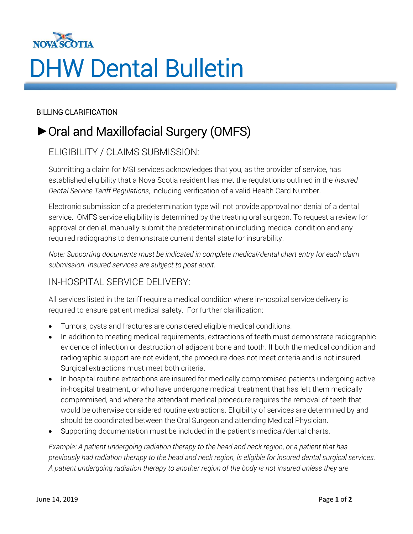

# DHW Dental Bulletin

#### BILLING CLARIFICATION

## **►**Oral and Maxillofacial Surgery (OMFS)

## ELIGIBILITY / CLAIMS SUBMISSION:

Submitting a claim for MSI services acknowledges that you, as the provider of service, has established eligibility that a Nova Scotia resident has met the regulations outlined in the *Insured Dental Service Tariff Regulations*, including verification of a valid Health Card Number.

Electronic submission of a predetermination type will not provide approval nor denial of a dental service. OMFS service eligibility is determined by the treating oral surgeon. To request a review for approval or denial, manually submit the predetermination including medical condition and any required radiographs to demonstrate current dental state for insurability.

*Note: Supporting documents must be indicated in complete medical/dental chart entry for each claim submission. Insured services are subject to post audit.*

## IN-HOSPITAL SERVICE DELIVERY:

All services listed in the tariff require a medical condition where in-hospital service delivery is required to ensure patient medical safety. For further clarification:

- Tumors, cysts and fractures are considered eligible medical conditions.
- In addition to meeting medical requirements, extractions of teeth must demonstrate radiographic evidence of infection or destruction of adjacent bone and tooth. If both the medical condition and radiographic support are not evident, the procedure does not meet criteria and is not insured. Surgical extractions must meet both criteria.
- In-hospital routine extractions are insured for medically compromised patients undergoing active in-hospital treatment, or who have undergone medical treatment that has left them medically compromised, and where the attendant medical procedure requires the removal of teeth that would be otherwise considered routine extractions. Eligibility of services are determined by and should be coordinated between the Oral Surgeon and attending Medical Physician.
- Supporting documentation must be included in the patient's medical/dental charts.

*Example: A patient undergoing radiation therapy to the head and neck region, or a patient that has previously had radiation therapy to the head and neck region, is eligible for insured dental surgical services. A patient undergoing radiation therapy to another region of the body is not insured unless they are*